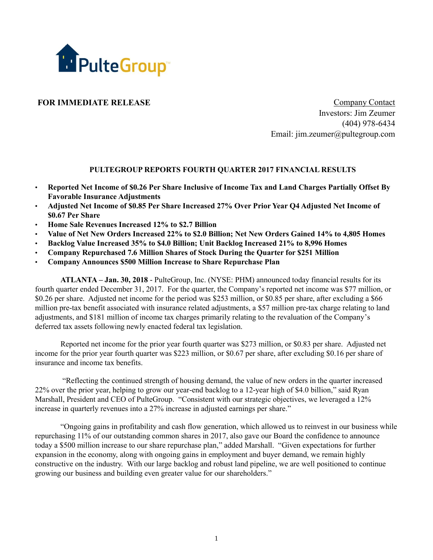

**FOR IMMEDIATE RELEASE Company Contact** Investors: Jim Zeumer (404) 978-6434 Email: jim.zeumer@pultegroup.com

# **PULTEGROUP REPORTS FOURTH QUARTER 2017 FINANCIAL RESULTS**

- **Reported Net Income of \$0.26 Per Share Inclusive of Income Tax and Land Charges Partially Offset By Favorable Insurance Adjustments**
- **Adjusted Net Income of \$0.85 Per Share Increased 27% Over Prior Year Q4 Adjusted Net Income of \$0.67 Per Share**
- **Home Sale Revenues Increased 12% to \$2.7 Billion**
- **Value of Net New Orders Increased 22% to \$2.0 Billion; Net New Orders Gained 14% to 4,805 Homes**
- **Backlog Value Increased 35% to \$4.0 Billion; Unit Backlog Increased 21% to 8,996 Homes**
- **Company Repurchased 7.6 Million Shares of Stock During the Quarter for \$251 Million**
- **Company Announces \$500 Million Increase to Share Repurchase Plan**

**ATLANTA – Jan. 30, 2018** - PulteGroup, Inc. (NYSE: PHM) announced today financial results for its fourth quarter ended December 31, 2017. For the quarter, the Company's reported net income was \$77 million, or \$0.26 per share. Adjusted net income for the period was \$253 million, or \$0.85 per share, after excluding a \$66 million pre-tax benefit associated with insurance related adjustments, a \$57 million pre-tax charge relating to land adjustments, and \$181 million of income tax charges primarily relating to the revaluation of the Company's deferred tax assets following newly enacted federal tax legislation.

Reported net income for the prior year fourth quarter was \$273 million, or \$0.83 per share. Adjusted net income for the prior year fourth quarter was \$223 million, or \$0.67 per share, after excluding \$0.16 per share of insurance and income tax benefits.

"Reflecting the continued strength of housing demand, the value of new orders in the quarter increased 22% over the prior year, helping to grow our year-end backlog to a 12-year high of \$4.0 billion," said Ryan Marshall, President and CEO of PulteGroup. "Consistent with our strategic objectives, we leveraged a 12% increase in quarterly revenues into a 27% increase in adjusted earnings per share."

"Ongoing gains in profitability and cash flow generation, which allowed us to reinvest in our business while repurchasing 11% of our outstanding common shares in 2017, also gave our Board the confidence to announce today a \$500 million increase to our share repurchase plan," added Marshall. "Given expectations for further expansion in the economy, along with ongoing gains in employment and buyer demand, we remain highly constructive on the industry. With our large backlog and robust land pipeline, we are well positioned to continue growing our business and building even greater value for our shareholders."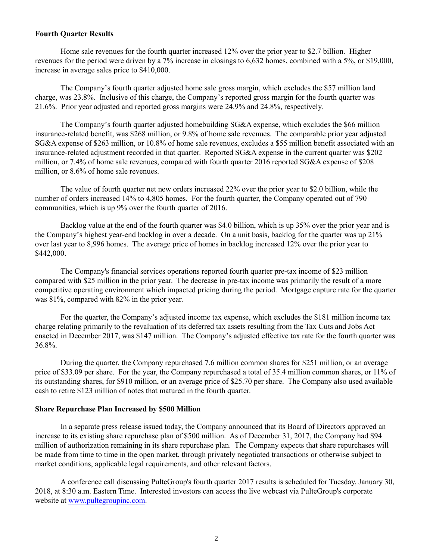### **Fourth Quarter Results**

Home sale revenues for the fourth quarter increased 12% over the prior year to \$2.7 billion. Higher revenues for the period were driven by a 7% increase in closings to 6,632 homes, combined with a 5%, or \$19,000, increase in average sales price to \$410,000.

The Company's fourth quarter adjusted home sale gross margin, which excludes the \$57 million land charge, was 23.8%. Inclusive of this charge, the Company's reported gross margin for the fourth quarter was 21.6%. Prior year adjusted and reported gross margins were 24.9% and 24.8%, respectively.

The Company's fourth quarter adjusted homebuilding SG&A expense, which excludes the \$66 million insurance-related benefit, was \$268 million, or 9.8% of home sale revenues. The comparable prior year adjusted SG&A expense of \$263 million, or 10.8% of home sale revenues, excludes a \$55 million benefit associated with an insurance-related adjustment recorded in that quarter. Reported SG&A expense in the current quarter was \$202 million, or 7.4% of home sale revenues, compared with fourth quarter 2016 reported SG&A expense of \$208 million, or 8.6% of home sale revenues.

The value of fourth quarter net new orders increased 22% over the prior year to \$2.0 billion, while the number of orders increased 14% to 4,805 homes. For the fourth quarter, the Company operated out of 790 communities, which is up 9% over the fourth quarter of 2016.

Backlog value at the end of the fourth quarter was \$4.0 billion, which is up 35% over the prior year and is the Company's highest year-end backlog in over a decade. On a unit basis, backlog for the quarter was up 21% over last year to 8,996 homes. The average price of homes in backlog increased 12% over the prior year to \$442,000.

The Company's financial services operations reported fourth quarter pre-tax income of \$23 million compared with \$25 million in the prior year. The decrease in pre-tax income was primarily the result of a more competitive operating environment which impacted pricing during the period. Mortgage capture rate for the quarter was 81%, compared with 82% in the prior year.

For the quarter, the Company's adjusted income tax expense, which excludes the \$181 million income tax charge relating primarily to the revaluation of its deferred tax assets resulting from the Tax Cuts and Jobs Act enacted in December 2017, was \$147 million. The Company's adjusted effective tax rate for the fourth quarter was 36.8%.

During the quarter, the Company repurchased 7.6 million common shares for \$251 million, or an average price of \$33.09 per share. For the year, the Company repurchased a total of 35.4 million common shares, or 11% of its outstanding shares, for \$910 million, or an average price of \$25.70 per share. The Company also used available cash to retire \$123 million of notes that matured in the fourth quarter.

## **Share Repurchase Plan Increased by \$500 Million**

In a separate press release issued today, the Company announced that its Board of Directors approved an increase to its existing share repurchase plan of \$500 million. As of December 31, 2017, the Company had \$94 million of authorization remaining in its share repurchase plan. The Company expects that share repurchases will be made from time to time in the open market, through privately negotiated transactions or otherwise subject to market conditions, applicable legal requirements, and other relevant factors.

A conference call discussing PulteGroup's fourth quarter 2017 results is scheduled for Tuesday, January 30, 2018, at 8:30 a.m. Eastern Time. Interested investors can access the live webcast via PulteGroup's corporate website at www.pultegroupinc.com.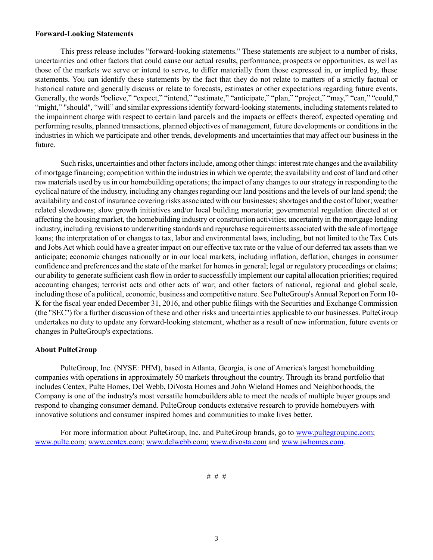### **Forward-Looking Statements**

This press release includes "forward-looking statements." These statements are subject to a number of risks, uncertainties and other factors that could cause our actual results, performance, prospects or opportunities, as well as those of the markets we serve or intend to serve, to differ materially from those expressed in, or implied by, these statements. You can identify these statements by the fact that they do not relate to matters of a strictly factual or historical nature and generally discuss or relate to forecasts, estimates or other expectations regarding future events. Generally, the words "believe," "expect," "intend," "estimate," "anticipate," "plan," "project," "may," "can," "could," "might," "should", "will" and similar expressions identify forward-looking statements, including statements related to the impairment charge with respect to certain land parcels and the impacts or effects thereof, expected operating and performing results, planned transactions, planned objectives of management, future developments or conditions in the industries in which we participate and other trends, developments and uncertainties that may affect our business in the future.

Such risks, uncertainties and other factors include, among other things: interest rate changes and the availability of mortgage financing; competition within the industries in which we operate; the availability and cost of land and other raw materials used by us in our homebuilding operations; the impact of any changes to our strategy in responding to the cyclical nature of the industry, including any changes regarding our land positions and the levels of our land spend; the availability and cost of insurance covering risks associated with our businesses; shortages and the cost of labor; weather related slowdowns; slow growth initiatives and/or local building moratoria; governmental regulation directed at or affecting the housing market, the homebuilding industry or construction activities; uncertainty in the mortgage lending industry, including revisions to underwriting standards and repurchase requirements associated with the sale of mortgage loans; the interpretation of or changes to tax, labor and environmental laws, including, but not limited to the Tax Cuts and Jobs Act which could have a greater impact on our effective tax rate or the value of our deferred tax assets than we anticipate; economic changes nationally or in our local markets, including inflation, deflation, changes in consumer confidence and preferences and the state of the market for homes in general; legal or regulatory proceedings or claims; our ability to generate sufficient cash flow in order to successfully implement our capital allocation priorities; required accounting changes; terrorist acts and other acts of war; and other factors of national, regional and global scale, including those of a political, economic, business and competitive nature. See PulteGroup's Annual Report on Form 10- K for the fiscal year ended December 31, 2016, and other public filings with the Securities and Exchange Commission (the "SEC") for a further discussion of these and other risks and uncertainties applicable to our businesses. PulteGroup undertakes no duty to update any forward-looking statement, whether as a result of new information, future events or changes in PulteGroup's expectations.

## **About PulteGroup**

PulteGroup, Inc. (NYSE: PHM), based in Atlanta, Georgia, is one of America's largest homebuilding companies with operations in approximately 50 markets throughout the country. Through its brand portfolio that includes Centex, Pulte Homes, Del Webb, DiVosta Homes and John Wieland Homes and Neighborhoods, the Company is one of the industry's most versatile homebuilders able to meet the needs of multiple buyer groups and respond to changing consumer demand. PulteGroup conducts extensive research to provide homebuyers with innovative solutions and consumer inspired homes and communities to make lives better.

For more information about PulteGroup, Inc. and PulteGroup brands, go to www.pultegroupinc.com; www.pulte.com; www.centex.com; www.delwebb.com; www.divosta.com and www.jwhomes.com.

# # #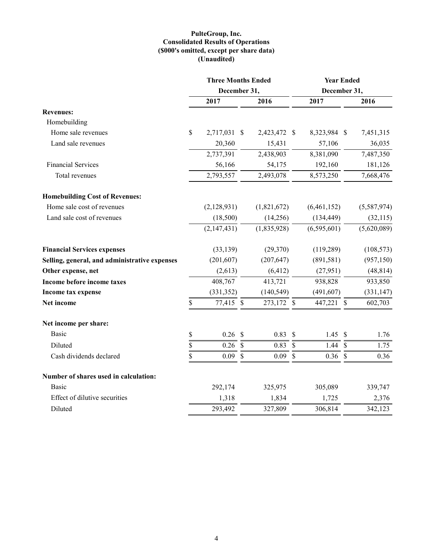### **PulteGroup, Inc. Consolidated Results of Operations (\$000's omitted, except per share data) (Unaudited)**

|                                               | <b>Three Months Ended</b> |               |              |                           |              |               | <b>Year Ended</b> |  |  |
|-----------------------------------------------|---------------------------|---------------|--------------|---------------------------|--------------|---------------|-------------------|--|--|
|                                               | December 31,              |               |              |                           | December 31, |               |                   |  |  |
|                                               | 2017                      |               | 2016         |                           | 2017         |               | 2016              |  |  |
| <b>Revenues:</b>                              |                           |               |              |                           |              |               |                   |  |  |
| Homebuilding                                  |                           |               |              |                           |              |               |                   |  |  |
| Home sale revenues                            | \$<br>2,717,031 \$        |               | 2,423,472 \$ |                           | 8,323,984 \$ |               | 7,451,315         |  |  |
| Land sale revenues                            | 20,360                    |               | 15,431       |                           | 57,106       |               | 36,035            |  |  |
|                                               | 2,737,391                 |               | 2,438,903    |                           | 8,381,090    |               | 7,487,350         |  |  |
| <b>Financial Services</b>                     | 56,166                    |               | 54,175       |                           | 192,160      |               | 181,126           |  |  |
| Total revenues                                | 2,793,557                 |               | 2,493,078    |                           | 8,573,250    |               | 7,668,476         |  |  |
| <b>Homebuilding Cost of Revenues:</b>         |                           |               |              |                           |              |               |                   |  |  |
| Home sale cost of revenues                    | (2,128,931)               |               | (1,821,672)  |                           | (6,461,152)  |               | (5,587,974)       |  |  |
| Land sale cost of revenues                    | (18,500)                  |               | (14,256)     |                           | (134, 449)   |               | (32, 115)         |  |  |
|                                               | (2,147,431)               |               | (1,835,928)  |                           | (6,595,601)  |               | (5,620,089)       |  |  |
| <b>Financial Services expenses</b>            | (33, 139)                 |               | (29,370)     |                           | (119, 289)   |               | (108, 573)        |  |  |
| Selling, general, and administrative expenses | (201, 607)                |               | (207, 647)   |                           | (891, 581)   |               | (957, 150)        |  |  |
| Other expense, net                            | (2,613)                   |               | (6, 412)     |                           | (27, 951)    |               | (48, 814)         |  |  |
| Income before income taxes                    | 408,767                   |               | 413,721      |                           | 938,828      |               | 933,850           |  |  |
| Income tax expense                            | (331, 352)                |               | (140, 549)   |                           | (491, 607)   |               | (331, 147)        |  |  |
| Net income                                    | \$<br>77,415 \$           |               | 273,172 \$   |                           | 447,221 \$   |               | 602,703           |  |  |
| Net income per share:                         |                           |               |              |                           |              |               |                   |  |  |
| Basic                                         | \$<br>0.26                | $\mathcal{S}$ | 0.83         | $\boldsymbol{\mathsf{S}}$ | 1.45         | $\mathcal{S}$ | 1.76              |  |  |
| Diluted                                       | \$<br>0.26                | $\mathcal{S}$ | 0.83         | $\mathcal{S}$             | 1.44         | $\mathcal{S}$ | 1.75              |  |  |
| Cash dividends declared                       | \$<br>0.09                | $\mathcal{S}$ | 0.09         | $\mathcal{S}$             | 0.36         | $\mathcal{S}$ | 0.36              |  |  |
| Number of shares used in calculation:         |                           |               |              |                           |              |               |                   |  |  |
| Basic                                         | 292,174                   |               | 325,975      |                           | 305,089      |               | 339,747           |  |  |
| Effect of dilutive securities                 | 1,318                     |               | 1,834        |                           | 1,725        |               | 2,376             |  |  |
| Diluted                                       | 293,492                   |               | 327,809      |                           | 306,814      |               | 342,123           |  |  |
|                                               |                           |               |              |                           |              |               |                   |  |  |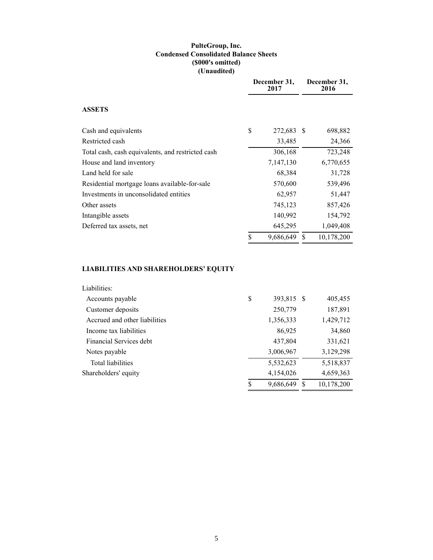### **PulteGroup, Inc. Condensed Consolidated Balance Sheets (\$000's omitted) (Unaudited)**

|                                                   | December 31,<br>2017 | December 31,<br>2016 |
|---------------------------------------------------|----------------------|----------------------|
| <b>ASSETS</b>                                     |                      |                      |
| Cash and equivalents                              | \$<br>272,683 \$     | 698,882              |
| Restricted cash                                   | 33,485               | 24,366               |
| Total cash, cash equivalents, and restricted cash | 306,168              | 723,248              |
| House and land inventory                          | 7,147,130            | 6,770,655            |
| Land held for sale                                | 68,384               | 31,728               |
| Residential mortgage loans available-for-sale     | 570,600              | 539,496              |
| Investments in unconsolidated entities            | 62,957               | 51,447               |
| Other assets                                      | 745,123              | 857,426              |
| Intangible assets                                 | 140,992              | 154,792              |
| Deferred tax assets, net                          | 645,295              | 1,049,408            |
|                                                   | \$<br>9,686,649      | \$<br>10,178,200     |

# **LIABILITIES AND SHAREHOLDERS' EQUITY**

| Liabilities:                  |    |            |            |
|-------------------------------|----|------------|------------|
| Accounts payable              | \$ | 393,815 \$ | 405,455    |
| Customer deposits             |    | 250,779    | 187,891    |
| Accrued and other liabilities |    | 1,356,333  | 1,429,712  |
| Income tax liabilities        |    | 86,925     | 34,860     |
| Financial Services debt.      |    | 437,804    | 331,621    |
| Notes payable                 |    | 3,006,967  | 3,129,298  |
| Total liabilities             |    | 5,532,623  | 5,518,837  |
| Shareholders' equity          |    | 4,154,026  | 4,659,363  |
|                               | S  | 9,686,649  | 10,178,200 |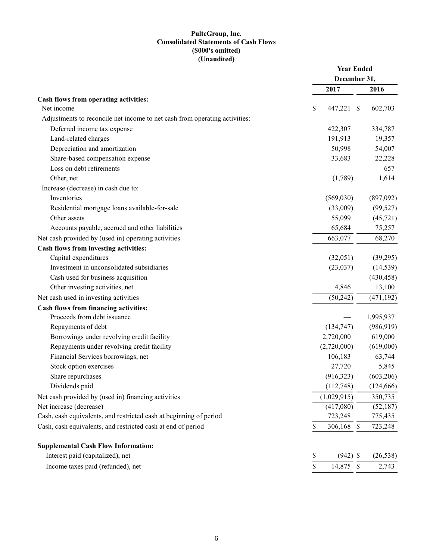# **PulteGroup, Inc. Consolidated Statements of Cash Flows (\$000's omitted) (Unaudited)**

|                                                                            | <b>Year Ended</b> |               |            |  |  |
|----------------------------------------------------------------------------|-------------------|---------------|------------|--|--|
|                                                                            | December 31,      |               |            |  |  |
|                                                                            | 2017              |               | 2016       |  |  |
| Cash flows from operating activities:                                      |                   |               |            |  |  |
| Net income                                                                 | \$<br>447,221     | <sup>\$</sup> | 602,703    |  |  |
| Adjustments to reconcile net income to net cash from operating activities: |                   |               |            |  |  |
| Deferred income tax expense                                                | 422,307           |               | 334,787    |  |  |
| Land-related charges                                                       | 191,913           |               | 19,357     |  |  |
| Depreciation and amortization                                              | 50,998            |               | 54,007     |  |  |
| Share-based compensation expense                                           | 33,683            |               | 22,228     |  |  |
| Loss on debt retirements                                                   |                   |               | 657        |  |  |
| Other, net                                                                 | (1,789)           |               | 1,614      |  |  |
| Increase (decrease) in cash due to:                                        |                   |               |            |  |  |
| Inventories                                                                | (569,030)         |               | (897,092)  |  |  |
| Residential mortgage loans available-for-sale                              | (33,009)          |               | (99, 527)  |  |  |
| Other assets                                                               | 55,099            |               | (45, 721)  |  |  |
| Accounts payable, accrued and other liabilities                            | 65,684            |               | 75,257     |  |  |
| Net cash provided by (used in) operating activities                        | 663,077           |               | 68,270     |  |  |
| Cash flows from investing activities:                                      |                   |               |            |  |  |
| Capital expenditures                                                       | (32,051)          |               | (39,295)   |  |  |
| Investment in unconsolidated subsidiaries                                  | (23,037)          |               | (14, 539)  |  |  |
| Cash used for business acquisition                                         |                   |               | (430, 458) |  |  |
| Other investing activities, net                                            | 4,846             |               | 13,100     |  |  |
| Net cash used in investing activities                                      | (50, 242)         |               | (471, 192) |  |  |
| Cash flows from financing activities:                                      |                   |               |            |  |  |
| Proceeds from debt issuance                                                |                   |               | 1,995,937  |  |  |
| Repayments of debt                                                         | (134, 747)        |               | (986, 919) |  |  |
| Borrowings under revolving credit facility                                 | 2,720,000         |               | 619,000    |  |  |
| Repayments under revolving credit facility                                 | (2,720,000)       |               | (619,000)  |  |  |
| Financial Services borrowings, net                                         | 106,183           |               | 63,744     |  |  |
| Stock option exercises                                                     | 27,720            |               | 5,845      |  |  |
| Share repurchases                                                          | (916, 323)        |               | (603,206)  |  |  |
| Dividends paid                                                             | (112, 748)        |               | (124, 666) |  |  |
| Net cash provided by (used in) financing activities                        | (1,029,915)       |               | 350,735    |  |  |
| Net increase (decrease)                                                    | (417,080)         |               | (52, 187)  |  |  |
| Cash, cash equivalents, and restricted cash at beginning of period         | 723,248           |               | 775,435    |  |  |
| Cash, cash equivalents, and restricted cash at end of period               | \$<br>306,168 \$  |               | 723,248    |  |  |
| <b>Supplemental Cash Flow Information:</b>                                 |                   |               |            |  |  |
| Interest paid (capitalized), net                                           | \$<br>$(942)$ \$  |               | (26, 538)  |  |  |
| Income taxes paid (refunded), net                                          | \$<br>14,875 \$   |               | 2,743      |  |  |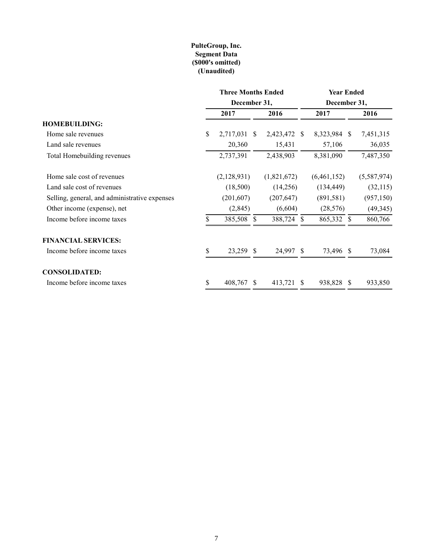### **PulteGroup, Inc. Segment Data (\$000's omitted) (Unaudited)**

|                                               | <b>Three Months Ended</b> |               |             | <b>Year Ended</b> |              |              |             |  |  |
|-----------------------------------------------|---------------------------|---------------|-------------|-------------------|--------------|--------------|-------------|--|--|
|                                               | December 31,              |               |             |                   | December 31, |              |             |  |  |
|                                               | 2017                      |               | 2016        |                   | 2017         |              | 2016        |  |  |
| <b>HOMEBUILDING:</b>                          |                           |               |             |                   |              |              |             |  |  |
| Home sale revenues                            | \$<br>2,717,031           | <sup>\$</sup> | 2,423,472   | -S                | 8,323,984 \$ |              | 7,451,315   |  |  |
| Land sale revenues                            | 20,360                    |               | 15,431      |                   | 57,106       |              | 36,035      |  |  |
| Total Homebuilding revenues                   | 2,737,391                 |               | 2,438,903   |                   | 8,381,090    |              | 7,487,350   |  |  |
| Home sale cost of revenues                    | (2,128,931)               |               | (1,821,672) |                   | (6,461,152)  |              | (5,587,974) |  |  |
| Land sale cost of revenues                    | (18,500)                  |               | (14,256)    |                   | (134, 449)   |              | (32, 115)   |  |  |
| Selling, general, and administrative expenses | (201, 607)                |               | (207, 647)  |                   | (891,581)    |              | (957, 150)  |  |  |
| Other income (expense), net                   | (2,845)                   |               | (6,604)     |                   | (28, 576)    |              | (49, 345)   |  |  |
| Income before income taxes                    | 385,508 \$                |               | 388,724 \$  |                   | 865,332 \$   |              | 860,766     |  |  |
| <b>FINANCIAL SERVICES:</b>                    |                           |               |             |                   |              |              |             |  |  |
| Income before income taxes                    | \$<br>23,259 \$           |               | 24,997 \$   |                   | 73,496 \$    |              | 73,084      |  |  |
| <b>CONSOLIDATED:</b>                          |                           |               |             |                   |              |              |             |  |  |
| Income before income taxes                    | \$<br>408,767             | <sup>S</sup>  | 413,721     | <sup>S</sup>      | 938,828      | <sup>S</sup> | 933,850     |  |  |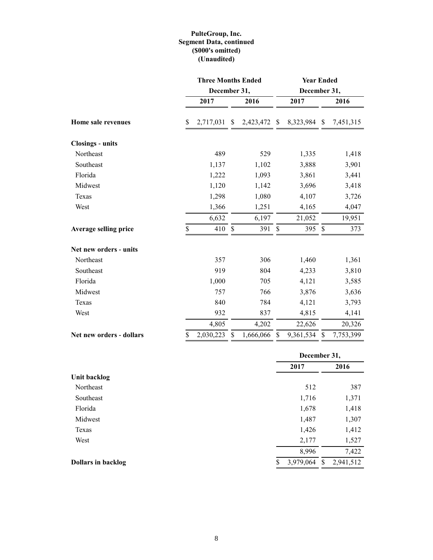# **PulteGroup, Inc. Segment Data, continued (\$000's omitted) (Unaudited)**

|                          | <b>Three Months Ended</b> |               |           |               | <b>Year Ended</b> |                           |           |  |  |  |  |  |
|--------------------------|---------------------------|---------------|-----------|---------------|-------------------|---------------------------|-----------|--|--|--|--|--|
|                          | December 31,              |               |           |               | December 31,      |                           |           |  |  |  |  |  |
|                          | 2017                      |               | 2016      |               | 2017              |                           | 2016      |  |  |  |  |  |
| Home sale revenues       | \$<br>2,717,031           | \$            | 2,423,472 | <sup>\$</sup> | 8,323,984 \$      |                           | 7,451,315 |  |  |  |  |  |
| <b>Closings - units</b>  |                           |               |           |               |                   |                           |           |  |  |  |  |  |
| Northeast                | 489                       |               | 529       |               | 1,335             |                           | 1,418     |  |  |  |  |  |
| Southeast                | 1,137                     |               | 1,102     |               | 3,888             |                           | 3,901     |  |  |  |  |  |
| Florida                  | 1,222                     |               | 1,093     |               | 3,861             |                           | 3,441     |  |  |  |  |  |
| Midwest                  | 1,120                     |               | 1,142     |               | 3,696             |                           | 3,418     |  |  |  |  |  |
| Texas                    | 1,298                     |               | 1,080     |               | 4,107             |                           | 3,726     |  |  |  |  |  |
| West                     | 1,366                     |               | 1,251     |               | 4,165             |                           | 4,047     |  |  |  |  |  |
|                          | 6,632                     |               | 6,197     |               | 21,052            |                           | 19,951    |  |  |  |  |  |
| Average selling price    | \$<br>410                 | $\mathcal{S}$ | 391       | \$            | 395               | $\boldsymbol{\mathsf{S}}$ | 373       |  |  |  |  |  |
| Net new orders - units   |                           |               |           |               |                   |                           |           |  |  |  |  |  |
| Northeast                | 357                       |               | 306       |               | 1,460             |                           | 1,361     |  |  |  |  |  |
| Southeast                | 919                       |               | 804       |               | 4,233             |                           | 3,810     |  |  |  |  |  |
| Florida                  | 1,000                     |               | 705       |               | 4,121             |                           | 3,585     |  |  |  |  |  |
| Midwest                  | 757                       |               | 766       |               | 3,876             |                           | 3,636     |  |  |  |  |  |
| Texas                    | 840                       |               | 784       |               | 4,121             |                           | 3,793     |  |  |  |  |  |
| West                     | 932                       |               | 837       |               | 4,815             |                           | 4,141     |  |  |  |  |  |
|                          | 4,805                     |               | 4,202     |               | 22,626            |                           | 20,326    |  |  |  |  |  |
| Net new orders - dollars | \$<br>2,030,223           | S             | 1,666,066 | S             | 9,361,534         | \$                        | 7,753,399 |  |  |  |  |  |
|                          |                           |               |           |               |                   |                           |           |  |  |  |  |  |

|                           |                 |   | December 31, |
|---------------------------|-----------------|---|--------------|
|                           | 2017            |   | 2016         |
| Unit backlog              |                 |   |              |
| Northeast                 | 512             |   | 387          |
| Southeast                 | 1,716           |   | 1,371        |
| Florida                   | 1,678           |   | 1,418        |
| Midwest                   | 1,487           |   | 1,307        |
| Texas                     | 1,426           |   | 1,412        |
| West                      | 2,177           |   | 1,527        |
|                           | 8,996           |   | 7,422        |
| <b>Dollars in backlog</b> | \$<br>3,979,064 | S | 2,941,512    |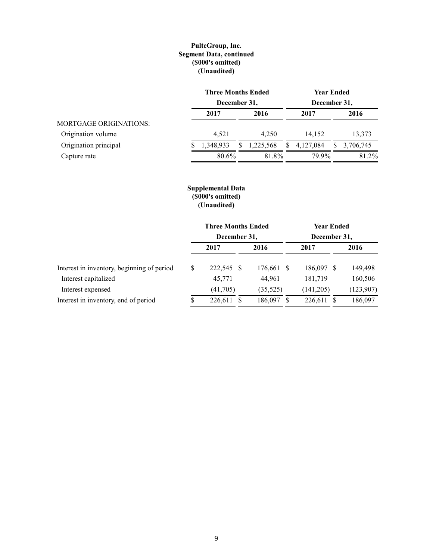### **PulteGroup, Inc. Segment Data, continued (\$000's omitted) (Unaudited)**

|                               | <b>Three Months Ended</b> |    | <b>Year Ended</b> |    |              |    |           |  |
|-------------------------------|---------------------------|----|-------------------|----|--------------|----|-----------|--|
|                               | December 31,              |    |                   |    | December 31, |    |           |  |
|                               | 2017                      |    | 2016              |    | 2017         |    | 2016      |  |
| <b>MORTGAGE ORIGINATIONS:</b> |                           |    |                   |    |              |    |           |  |
| Origination volume            | 4.521                     |    | 4.250             |    | 14.152       |    | 13.373    |  |
| Origination principal         | 1,348,933                 | S. | 1,225,568         | S. | 4,127,084    | S. | 3,706,745 |  |
| Capture rate                  | 80.6%                     |    | 81.8%             |    | 79.9%        |    | 81.2%     |  |

## **Supplemental Data (\$000's omitted) (Unaudited)**

|                                            |               | <b>Three Months Ended</b> |            |              |            | Year Ended |           |  |  |
|--------------------------------------------|---------------|---------------------------|------------|--------------|------------|------------|-----------|--|--|
|                                            |               | December 31,              |            | December 31, |            |            |           |  |  |
|                                            |               | 2017                      | 2016       |              | 2017       |            | 2016      |  |  |
| Interest in inventory, beginning of period | <sup>\$</sup> | 222,545 \$                | 176,661 \$ |              | 186,097 \$ |            | 149,498   |  |  |
| Interest capitalized                       |               | 45,771                    | 44,961     |              | 181,719    |            | 160,506   |  |  |
| Interest expensed                          |               | (41,705)                  | (35,525)   |              | (141,205)  |            | (123,907) |  |  |
| Interest in inventory, end of period       |               | 226,611                   | 186,097    | S            | 226.611    |            | 186,097   |  |  |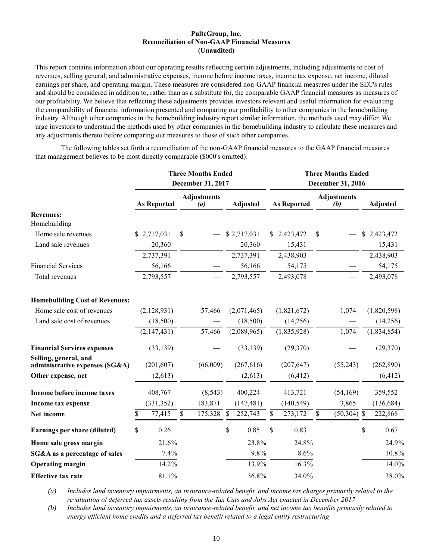#### **PulteGroup, Inc. Reconciliation of Non-GAAP Financial Measures (Unaudited)**

This report contains information about our operating results reflecting certain adjustments, including adjustments to cost of revenues, selling general, and administrative expenses, income before income taxes, income tax expense, net income, diluted earnings per share, and operating margin. These measures are considered non-GAAP financial measures under the SEC's rules and should be considered in addition to, rather than as a substitute for, the comparable GAAP financial measures as measures of our profitability. We believe that reflecting these adjustments provides investors relevant and useful information for evaluating the comparability of financial information presented and comparing our profitability to other companies in the homebuilding industry. Although other companies in the homebuilding industry report similar information, the methods used may differ. We urge investors to understand the methods used by other companies in the homebuilding industry to calculate these measures and any adjustments thereto before comparing our measures to those of such other companies.

The following tables set forth a reconciliation of the non-GAAP financial measures to the GAAP financial measures that management believes to be most directly comparable (\$000's omitted):

|                                                         |                    | <b>Three Months Ended</b><br>December 31, 2017 |                 |    |                    | <b>Three Months Ended</b><br>December 31, 2016 |                 |
|---------------------------------------------------------|--------------------|------------------------------------------------|-----------------|----|--------------------|------------------------------------------------|-----------------|
|                                                         | <b>As Reported</b> | <b>Adjustments</b><br>(a)                      | <b>Adjusted</b> |    | <b>As Reported</b> | <b>Adjustments</b><br>(b)                      | <b>Adjusted</b> |
| <b>Revenues:</b>                                        |                    |                                                |                 |    |                    |                                                |                 |
| Homebuilding                                            |                    |                                                |                 |    |                    |                                                |                 |
| Home sale revenues                                      | \$2,717,031        | \$                                             | \$2,717,031     | S. | 2,423,472          | \$                                             | \$2,423,472     |
| Land sale revenues                                      | 20,360             |                                                | 20,360          |    | 15,431             |                                                | 15,431          |
|                                                         | 2,737,391          |                                                | 2,737,391       |    | 2,438,903          |                                                | 2,438,903       |
| <b>Financial Services</b>                               | 56,166             |                                                | 56,166          |    | 54,175             |                                                | 54,175          |
| Total revenues                                          | 2,793,557          |                                                | 2,793,557       |    | 2,493,078          |                                                | 2,493,078       |
| <b>Homebuilding Cost of Revenues:</b>                   |                    |                                                |                 |    |                    |                                                |                 |
| Home sale cost of revenues                              | (2,128,931)        | 57,466                                         | (2,071,465)     |    | (1,821,672)        | 1,074                                          | (1,820,598)     |
| Land sale cost of revenues                              | (18,500)           |                                                | (18,500)        |    | (14,256)           |                                                | (14,256)        |
|                                                         | (2,147,431)        | 57,466                                         | (2,089,965)     |    | (1,835,928)        | 1,074                                          | (1,834,854)     |
| <b>Financial Services expenses</b>                      | (33, 139)          |                                                | (33, 139)       |    | (29,370)           |                                                | (29,370)        |
| Selling, general, and<br>administrative expenses (SG&A) | (201, 607)         | (66,009)                                       | (267, 616)      |    | (207, 647)         | (55,243)                                       | (262,890)       |
| Other expense, net                                      | (2,613)            |                                                | (2,613)         |    | (6, 412)           |                                                | (6, 412)        |
| Income before income taxes                              | 408,767            | (8, 543)                                       | 400,224         |    | 413,721            | (54,169)                                       | 359,552         |
| <b>Income tax expense</b>                               | (331, 352)         | 183,871                                        | (147, 481)      |    | (140, 549)         | 3,865                                          | (136, 684)      |
| Net income                                              | \$<br>77,415       | \$<br>175,328                                  | \$<br>252,743   | \$ | 273,172            | \$<br>$(50, 304)$ \$                           | 222,868         |
| Earnings per share (diluted)                            | \$<br>0.26         |                                                | \$<br>0.85      | \$ | 0.83               |                                                | \$<br>0.67      |
| Home sale gross margin                                  | 21.6%              |                                                | 23.8%           |    | 24.8%              |                                                | 24.9%           |
| SG&A as a percentage of sales                           | 7.4%               |                                                | 9.8%            |    | 8.6%               |                                                | 10.8%           |
| <b>Operating margin</b>                                 | 14.2%              |                                                | 13.9%           |    | 16.3%              |                                                | 14.0%           |
| <b>Effective tax rate</b>                               | 81.1%              |                                                | 36.8%           |    | 34.0%              |                                                | 38.0%           |

*(a) Includes land inventory impairments, an insurance-related benefit, and income tax charges primarily related to the revaluation of deferred tax assets resulting from the Tax Cuts and Jobs Act enacted in December 2017*

*(b) Includes land inventory impairments, an insurance-related benefit, and net income tax benefits primarily related to energy efficient home credits and a deferred tax benefit related to a legal entity restructuring*